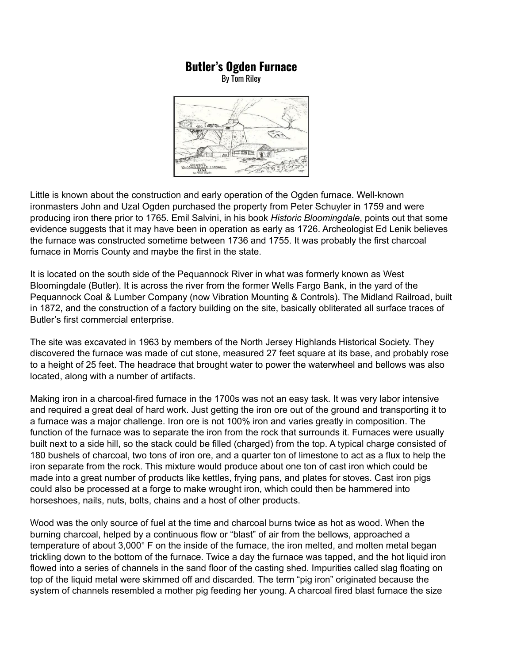## **Butler's Ogden Furnace**

By Tom Riley



Little is known about the construction and early operation of the Ogden furnace. Well-known ironmasters John and Uzal Ogden purchased the property from Peter Schuyler in 1759 and were producing iron there prior to 1765. Emil Salvini, in his book *Historic Bloomingdale*, points out that some evidence suggests that it may have been in operation as early as 1726. Archeologist Ed Lenik believes the furnace was constructed sometime between 1736 and 1755. It was probably the first charcoal furnace in Morris County and maybe the first in the state.

It is located on the south side of the Pequannock River in what was formerly known as West Bloomingdale (Butler). It is across the river from the former Wells Fargo Bank, in the yard of the Pequannock Coal & Lumber Company (now Vibration Mounting & Controls). The Midland Railroad, built in 1872, and the construction of a factory building on the site, basically obliterated all surface traces of Butler's first commercial enterprise.

The site was excavated in 1963 by members of the North Jersey Highlands Historical Society. They discovered the furnace was made of cut stone, measured 27 feet square at its base, and probably rose to a height of 25 feet. The headrace that brought water to power the waterwheel and bellows was also located, along with a number of artifacts.

Making iron in a charcoal-fired furnace in the 1700s was not an easy task. It was very labor intensive and required a great deal of hard work. Just getting the iron ore out of the ground and transporting it to a furnace was a major challenge. Iron ore is not 100% iron and varies greatly in composition. The function of the furnace was to separate the iron from the rock that surrounds it. Furnaces were usually built next to a side hill, so the stack could be filled (charged) from the top. A typical charge consisted of 180 bushels of charcoal, two tons of iron ore, and a quarter ton of limestone to act as a flux to help the iron separate from the rock. This mixture would produce about one ton of cast iron which could be made into a great number of products like kettles, frying pans, and plates for stoves. Cast iron pigs could also be processed at a forge to make wrought iron, which could then be hammered into horseshoes, nails, nuts, bolts, chains and a host of other products.

Wood was the only source of fuel at the time and charcoal burns twice as hot as wood. When the burning charcoal, helped by a continuous flow or "blast" of air from the bellows, approached a temperature of about 3,000° F on the inside of the furnace, the iron melted, and molten metal began trickling down to the bottom of the furnace. Twice a day the furnace was tapped, and the hot liquid iron flowed into a series of channels in the sand floor of the casting shed. Impurities called slag floating on top of the liquid metal were skimmed off and discarded. The term "pig iron" originated because the system of channels resembled a mother pig feeding her young. A charcoal fired blast furnace the size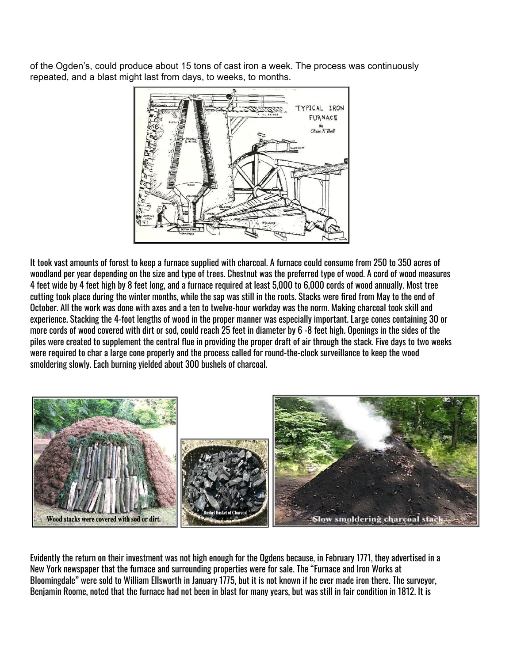of the Ogden's, could produce about 15 tons of cast iron a week. The process was continuously repeated, and a blast might last from days, to weeks, to months.



It took vast amounts of forest to keep a furnace supplied with charcoal. A furnace could consume from 250 to 350 acres of woodland per year depending on the size and type of trees. Chestnut was the preferred type of wood. A cord of wood measures 4 feet wide by 4 feet high by 8 feet long, and a furnace required at least 5,000 to 6,000 cords of wood annually. Most tree cutting took place during the winter months, while the sap was still in the roots. Stacks were fired from May to the end of October. All the work was done with axes and a ten to twelve-hour workday was the norm. Making charcoal took skill and experience. Stacking the 4-foot lengths of wood in the proper manner was especially important. Large cones containing 30 or more cords of wood covered with dirt or sod, could reach 25 feet in diameter by 6 -8 feet high. Openings in the sides of the piles were created to supplement the central flue in providing the proper draft of air through the stack. Five days to two weeks were required to char a large cone properly and the process called for round-the-clock surveillance to keep the wood smoldering slowly. Each burning yielded about 300 bushels of charcoal.



Evidently the return on their investment was not high enough for the Ogdens because, in February 1771, they advertised in a New York newspaper that the furnace and surrounding properties were for sale. The "Furnace and Iron Works at Bloomingdale" were sold to William Ellsworth in January 1775, but it is not known if he ever made iron there. The surveyor, Benjamin Roome, noted that the furnace had not been in blast for many years, but was still in fair condition in 1812. It is